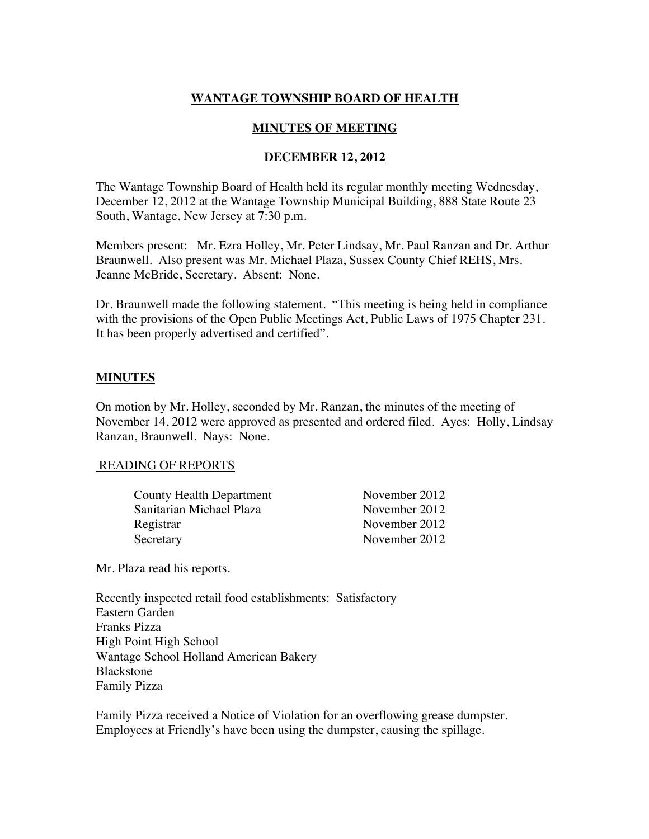# **WANTAGE TOWNSHIP BOARD OF HEALTH**

## **MINUTES OF MEETING**

## **DECEMBER 12, 2012**

The Wantage Township Board of Health held its regular monthly meeting Wednesday, December 12, 2012 at the Wantage Township Municipal Building, 888 State Route 23 South, Wantage, New Jersey at 7:30 p.m.

Members present: Mr. Ezra Holley, Mr. Peter Lindsay, Mr. Paul Ranzan and Dr. Arthur Braunwell. Also present was Mr. Michael Plaza, Sussex County Chief REHS, Mrs. Jeanne McBride, Secretary. Absent: None.

Dr. Braunwell made the following statement. "This meeting is being held in compliance with the provisions of the Open Public Meetings Act, Public Laws of 1975 Chapter 231. It has been properly advertised and certified".

## **MINUTES**

On motion by Mr. Holley, seconded by Mr. Ranzan, the minutes of the meeting of November 14, 2012 were approved as presented and ordered filed. Ayes: Holly, Lindsay Ranzan, Braunwell. Nays: None.

#### READING OF REPORTS

| <b>County Health Department</b> | November 2012 |
|---------------------------------|---------------|
| Sanitarian Michael Plaza        | November 2012 |
| Registrar                       | November 2012 |
| Secretary                       | November 2012 |

Mr. Plaza read his reports.

Recently inspected retail food establishments: Satisfactory Eastern Garden Franks Pizza High Point High School Wantage School Holland American Bakery Blackstone Family Pizza

Family Pizza received a Notice of Violation for an overflowing grease dumpster. Employees at Friendly's have been using the dumpster, causing the spillage.